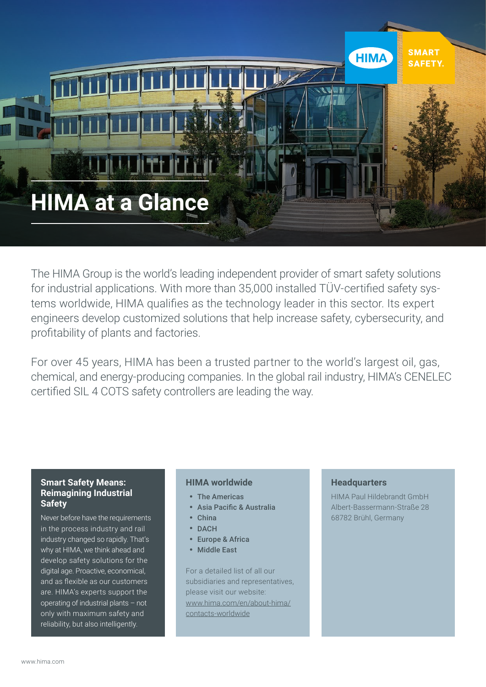

The HIMA Group is the world's leading independent provider of smart safety solutions for industrial applications. With more than 35,000 installed TÜV-certified safety systems worldwide, HIMA qualifies as the technology leader in this sector. Its expert engineers develop customized solutions that help increase safety, cybersecurity, and profitability of plants and factories.

For over 45 years, HIMA has been a trusted partner to the world's largest oil, gas, chemical, and energy-producing companies. In the global rail industry, HIMA's CENELEC certified SIL 4 COTS safety controllers are leading the way.

### **Smart Safety Means: Reimagining Industrial Safety**

Never before have the requirements in the process industry and rail industry changed so rapidly. That's why at HIMA, we think ahead and develop safety solutions for the digital age. Proactive, economical, and as flexible as our customers are. HIMA's experts support the operating of industrial plants – not only with maximum safety and reliability, but also intelligently.

### **HIMA worldwide**

- The Americas
- Asia Pacific & Australia
- China
- DACH
- Europe & Africa
- Middle East

For a detailed list of all our subsidiaries and representatives, please visit our website: www.hima.com/en/about-hima/ contacts-worldwide

#### **Headquarters**

HIMA Paul Hildebrandt GmbH Albert-Bassermann-Straße 28 68782 Brühl, Germany